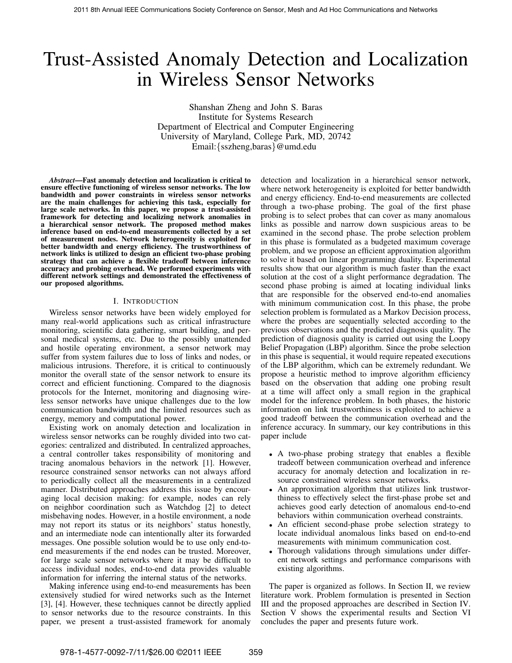# Trust-Assisted Anomaly Detection and Localization in Wireless Sensor Networks

Shanshan Zheng and John S. Baras Institute for Systems Research Department of Electrical and Computer Engineering University of Maryland, College Park, MD, 20742 Email:{sszheng,baras}@umd.edu

*Abstract*—Fast anomaly detection and localization is critical to ensure effective functioning of wireless sensor networks. The low bandwidth and power constraints in wireless sensor networks are the main challenges for achieving this task, especially for large scale networks. In this paper, we propose a trust-assisted framework for detecting and localizing network anomalies in a hierarchical sensor network. The proposed method makes inference based on end-to-end measurements collected by a set of measurement nodes. Network heterogeneity is exploited for better bandwidth and energy efficiency. The trustworthiness of network links is utilized to design an efficient two-phase probing strategy that can achieve a flexible tradeoff between inference accuracy and probing overhead. We performed experiments with different network settings and demonstrated the effectiveness of our proposed algorithms.

#### I. INTRODUCTION

Wireless sensor networks have been widely employed for many real-world applications such as critical infrastructure monitoring, scientific data gathering, smart building, and personal medical systems, etc. Due to the possibly unattended and hostile operating environment, a sensor network may suffer from system failures due to loss of links and nodes, or malicious intrusions. Therefore, it is critical to continuously monitor the overall state of the sensor network to ensure its correct and efficient functioning. Compared to the diagnosis protocols for the Internet, monitoring and diagnosing wireless sensor networks have unique challenges due to the low communication bandwidth and the limited resources such as energy, memory and computational power.

Existing work on anomaly detection and localization in wireless sensor networks can be roughly divided into two categories: centralized and distributed. In centralized approaches, a central controller takes responsibility of monitoring and tracing anomalous behaviors in the network [1]. However, resource constrained sensor networks can not always afford to periodically collect all the measurements in a centralized manner. Distributed approaches address this issue by encouraging local decision making: for example, nodes can rely on neighbor coordination such as Watchdog [2] to detect misbehaving nodes. However, in a hostile environment, a node may not report its status or its neighbors' status honestly, and an intermediate node can intentionally alter its forwarded messages. One possible solution would be to use only end-toend measurements if the end nodes can be trusted. Moreover, for large scale sensor networks where it may be difficult to access individual nodes, end-to-end data provides valuable information for inferring the internal status of the networks.

Making inference using end-to-end measurements has been extensively studied for wired networks such as the Internet [3], [4]. However, these techniques cannot be directly applied to sensor networks due to the resource constraints. In this paper, we present a trust-assisted framework for anomaly

detection and localization in a hierarchical sensor network, where network heterogeneity is exploited for better bandwidth and energy efficiency. End-to-end measurements are collected through a two-phase probing. The goal of the first phase probing is to select probes that can cover as many anomalous links as possible and narrow down suspicious areas to be examined in the second phase. The probe selection problem in this phase is formulated as a budgeted maximum coverage problem, and we propose an efficient approximation algorithm to solve it based on linear programming duality. Experimental results show that our algorithm is much faster than the exact solution at the cost of a slight performance degradation. The second phase probing is aimed at locating individual links that are responsible for the observed end-to-end anomalies with minimum communication cost. In this phase, the probe selection problem is formulated as a Markov Decision process, where the probes are sequentially selected according to the previous observations and the predicted diagnosis quality. The prediction of diagnosis quality is carried out using the Loopy Belief Propagation (LBP) algorithm. Since the probe selection in this phase is sequential, it would require repeated executions of the LBP algorithm, which can be extremely redundant. We propose a heuristic method to improve algorithm efficiency based on the observation that adding one probing result at a time will affect only a small region in the graphical model for the inference problem. In both phases, the historic information on link trustworthiness is exploited to achieve a good tradeoff between the communication overhead and the inference accuracy. In summary, our key contributions in this paper include

- A two-phase probing strategy that enables a flexible tradeoff between communication overhead and inference accuracy for anomaly detection and localization in resource constrained wireless sensor networks.
- An approximation algorithm that utilizes link trustworthiness to effectively select the first-phase probe set and achieves good early detection of anomalous end-to-end behaviors within communication overhead constraints.
- An efficient second-phase probe selection strategy to locate individual anomalous links based on end-to-end measurements with minimum communication cost.
- Thorough validations through simulations under different network settings and performance comparisons with existing algorithms.

The paper is organized as follows. In Section II, we review literature work. Problem formulation is presented in Section III and the proposed approaches are described in Section IV. Section V shows the experimental results and Section VI concludes the paper and presents future work.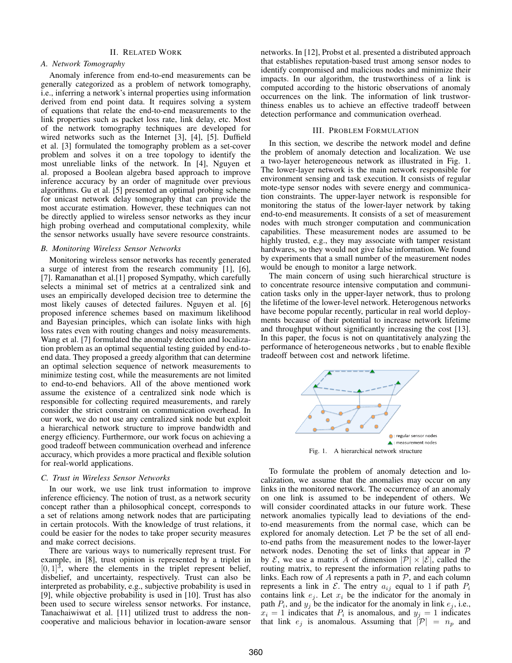## II. RELATED WORK

## *A. Network Tomography*

Anomaly inference from end-to-end measurements can be generally categorized as a problem of network tomography, i.e., inferring a network's internal properties using information derived from end point data. It requires solving a system of equations that relate the end-to-end measurements to the link properties such as packet loss rate, link delay, etc. Most of the network tomography techniques are developed for wired networks such as the Internet [3], [4], [5]. Duffield et al. [3] formulated the tomography problem as a set-cover problem and solves it on a tree topology to identify the most unreliable links of the network. In [4], Nguyen et al. proposed a Boolean algebra based approach to improve inference accuracy by an order of magnitude over previous algorithms. Gu et al. [5] presented an optimal probing scheme for unicast network delay tomography that can provide the most accurate estimation. However, these techniques can not be directly applied to wireless sensor networks as they incur high probing overhead and computational complexity, while the sensor networks usually have severe resource constraints.

#### *B. Monitoring Wireless Sensor Networks*

Monitoring wireless sensor networks has recently generated a surge of interest from the research community [1], [6], [7]. Ramanathan et al.[1] proposed Sympathy, which carefully selects a minimal set of metrics at a centralized sink and uses an empirically developed decision tree to determine the most likely causes of detected failures. Nguyen et al. [6] proposed inference schemes based on maximum likelihood and Bayesian principles, which can isolate links with high loss rates even with routing changes and noisy measurements. Wang et al. [7] formulated the anomaly detection and localization problem as an optimal sequential testing guided by end-toend data. They proposed a greedy algorithm that can determine an optimal selection sequence of network measurements to minimize testing cost, while the measurements are not limited to end-to-end behaviors. All of the above mentioned work assume the existence of a centralized sink node which is responsible for collecting required measurements, and rarely consider the strict constraint on communication overhead. In our work, we do not use any centralized sink node but exploit a hierarchical network structure to improve bandwidth and energy efficiency. Furthermore, our work focus on achieving a good tradeoff between communication overhead and inference accuracy, which provides a more practical and flexible solution for real-world applications.

#### *C. Trust in Wireless Sensor Networks*

In our work, we use link trust information to improve inference efficiency. The notion of trust, as a network security concept rather than a philosophical concept, corresponds to a set of relations among network nodes that are participating in certain protocols. With the knowledge of trust relations, it could be easier for the nodes to take proper security measures and make correct decisions.

There are various ways to numerically represent trust. For example, in [8], trust opinion is represented by a triplet in  $[0, 1]^3$ , where the elements in the triplet represent belief, disbelief, and uncertainty, respectively. Trust can also be interpreted as probability, e.g., subjective probability is used in [9], while objective probability is used in [10]. Trust has also been used to secure wireless sensor networks. For instance, Tanachaiwiwat et al. [11] utilized trust to address the noncooperative and malicious behavior in location-aware sensor

networks. In [12], Probst et al. presented a distributed approach that establishes reputation-based trust among sensor nodes to identify compromised and malicious nodes and minimize their impacts. In our algorithm, the trustworthiness of a link is computed according to the historic observations of anomaly occurrences on the link. The information of link trustworthiness enables us to achieve an effective tradeoff between detection performance and communication overhead.

#### III. PROBLEM FORMULATION

In this section, we describe the network model and define the problem of anomaly detection and localization. We use a two-layer heterogeneous network as illustrated in Fig. 1. The lower-layer network is the main network responsible for environment sensing and task execution. It consists of regular mote-type sensor nodes with severe energy and communication constraints. The upper-layer network is responsible for monitoring the status of the lower-layer network by taking end-to-end measurements. It consists of a set of measurement nodes with much stronger computation and communication capabilities. These measurement nodes are assumed to be highly trusted, e.g., they may associate with tamper resistant hardwares, so they would not give false information. We found by experiments that a small number of the measurement nodes would be enough to monitor a large network.

The main concern of using such hierarchical structure is to concentrate resource intensive computation and communication tasks only in the upper-layer network, thus to prolong the lifetime of the lower-level network. Heterogenous networks have become popular recently, particular in real world deployments because of their potential to increase network lifetime and throughput without significantly increasing the cost [13]. In this paper, the focus is not on quantitatively analyzing the performance of heterogeneous networks , but to enable flexible tradeoff between cost and network lifetime.



To formulate the problem of anomaly detection and localization, we assume that the anomalies may occur on any links in the monitored network. The occurrence of an anomaly on one link is assumed to be independent of others. We will consider coordinated attacks in our future work. These network anomalies typically lead to deviations of the endto-end measurements from the normal case, which can be explored for anomaly detection. Let  $P$  be the set of all endto-end paths from the measurement nodes to the lower-layer network nodes. Denoting the set of links that appear in  $P$ by  $\mathcal{E}$ , we use a matrix A of dimension  $|\mathcal{P}| \times |\mathcal{E}|$ , called the routing matrix, to represent the information relating paths to links. Each row of  $A$  represents a path in  $P$ , and each column represents a link in  $\mathcal E$ . The entry  $a_{ij}$  equal to 1 if path  $P_i$ contains link  $e_i$ . Let  $x_i$  be the indicator for the anomaly in path  $P_i$ , and  $y_j$  be the indicator for the anomaly in link  $e_j$ , i.e.,  $x_i = 1$  indicates that  $P_i$  is anomalous, and  $y_j = 1$  indicates that link  $e_i$  is anomalous. Assuming that  $|\mathcal{P}| = n_p$  and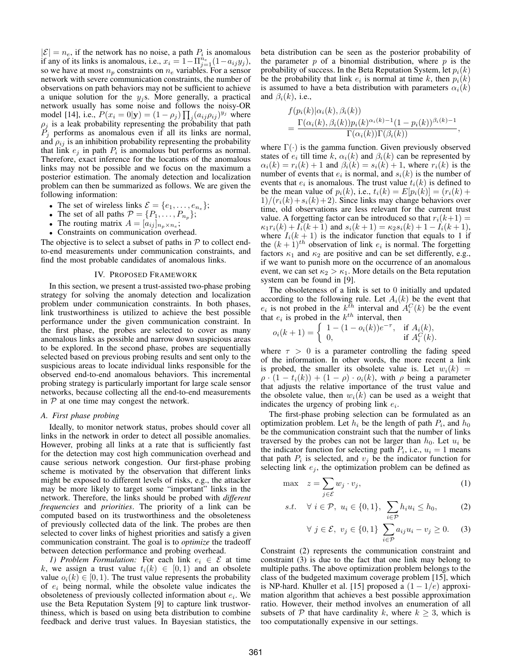$|\mathcal{E}| = n_e$ , if the network has no noise, a path  $P_i$  is anomalous if any of its links is anomalous, i.e.,  $x_i = 1 - \prod_{j=1}^{n_e} (1 - a_{ij}y_j)$ , so we have at most  $n_p$  constraints on  $n_e$  variables. For a sensor network with severe communication constraints, the number of observations on path behaviors may not be sufficient to achieve a unique solution for the  $y_j$ s. More generally, a practical network usually has some noise and follows the noisy-OR model [14], i.e.,  $P(x_i = 0 | \mathbf{y}) = (1 - \rho_j) \prod_j (a_{ij} \rho_{ij})^{y_j}$  where  $\rho_i$  is a leak probability representing the probability that path  $P_j$  performs as anomalous even if all its links are normal, and  $\rho_{ij}$  is an inhibition probability representing the probability that link  $e_j$  in path  $P_i$  is anomalous but performs as normal. Therefore, exact inference for the locations of the anomalous links may not be possible and we focus on the maximum a posterior estimation. The anomaly detection and localization problem can then be summarized as follows. We are given the following information:

- The set of wireless links  $\mathcal{E} = \{e_1, \ldots, e_{n_e}\};$
- The set of all paths  $\mathcal{P} = \{P_1, \ldots, P_{n_p}\};$
- The routing matrix  $A = [a_{ij}]_{n_p \times n_e}$ ;
- Constraints on communication overhead.

The objective is to select a subset of paths in  $P$  to collect endto-end measurements under communication constraints, and find the most probable candidates of anomalous links.

#### IV. PROPOSED FRAMEWORK

In this section, we present a trust-assisted two-phase probing strategy for solving the anomaly detection and localization problem under communication constraints. In both phases, link trustworthiness is utilized to achieve the best possible performance under the given communication constraint. In the first phase, the probes are selected to cover as many anomalous links as possible and narrow down suspicious areas to be explored. In the second phase, probes are sequentially selected based on previous probing results and sent only to the suspicious areas to locate individual links responsible for the observed end-to-end anomalous behaviors. This incremental probing strategy is particularly important for large scale sensor networks, because collecting all the end-to-end measurements in  $P$  at one time may congest the network.

#### *A. First phase probing*

Ideally, to monitor network status, probes should cover all links in the network in order to detect all possible anomalies. However, probing all links at a rate that is sufficiently fast for the detection may cost high communication overhead and cause serious network congestion. Our first-phase probing scheme is motivated by the observation that different links might be exposed to different levels of risks, e.g., the attacker may be more likely to target some "important" links in the network. Therefore, the links should be probed with *different frequencies* and *priorities*. The priority of a link can be computed based on its trustworthiness and the obsoleteness of previously collected data of the link. The probes are then selected to cover links of highest priorities and satisfy a given communication constraint. The goal is to *optimize* the tradeoff between detection performance and probing overhead.

*1) Problem Formulation:* For each link  $e_i \in \mathcal{E}$  at time k, we assign a trust value  $t_i(k) \in [0,1)$  and an obsolete value  $o_i(k) \in [0, 1)$ . The trust value represents the probability of  $e_i$  being normal, while the obsolete value indicates the obsoleteness of previously collected information about  $e_i$ . We use the Beta Reputation System [9] to capture link trustworthiness, which is based on using beta distribution to combine feedback and derive trust values. In Bayesian statistics, the beta distribution can be seen as the posterior probability of the parameter  $p$  of a binomial distribution, where  $p$  is the probability of success. In the Beta Reputation System, let  $p_i(k)$ be the probability that link  $e_i$  is normal at time k, then  $p_i(k)$ is assumed to have a beta distribution with parameters  $\alpha_i(k)$ and  $\beta_i(k)$ , i.e.,

$$
f(p_i(k)|\alpha_i(k), \beta_i(k))
$$
  
= 
$$
\frac{\Gamma(\alpha_i(k), \beta_i(k))p_i(k)^{\alpha_i(k)-1}(1-p_i(k))^{\beta_i(k)-1}}{\Gamma(\alpha_i(k))\Gamma(\beta_i(k))},
$$

where  $\Gamma(\cdot)$  is the gamma function. Given previously observed states of  $e_i$  till time k,  $\alpha_i(k)$  and  $\beta_i(k)$  can be represented by  $\alpha_i(k) = r_i(k) + 1$  and  $\beta_i(k) = s_i(k) + 1$ , where  $r_i(k)$  is the number of events that  $e_i$  is normal, and  $s_i(k)$  is the number of events that  $e_i$  is anomalous. The trust value  $t_i(k)$  is defined to be the mean value of  $p_i(k)$ , i.e.,  $t_i(k) = E[p_i(k)] = (r_i(k) +$  $1/(r_i(k)+s_i(k)+2)$ . Since links may change behaviors over time, old observations are less relevant for the current trust value. A forgetting factor can be introduced so that  $r_i(k+1) =$  $\kappa_1 r_i(k) + I_i(k+1)$  and  $s_i(k+1) = \kappa_2 s_i(k) + 1 - I_i(k+1)$ , where  $I_i(k + 1)$  is the indicator function that equals to 1 if the  $(k+1)$ <sup>th</sup> observation of link  $e_i$  is normal. The forgetting factors  $\kappa_1$  and  $\kappa_2$  are positive and can be set differently, e.g., if we want to punish more on the occurrence of an anomalous event, we can set  $\kappa_2 > \kappa_1$ . More details on the Beta reputation system can be found in [9].

The obsoleteness of a link is set to 0 initially and updated according to the following rule. Let  $A_i(k)$  be the event that  $e_i$  is not probed in the  $k_i^{\text{th}}$  interval and  $A_i^C(k)$  be the event that  $e_i$  is probed in the  $k^{th}$  interval, then

$$
o_i(k+1) = \begin{cases} 1 - (1 - o_i(k))e^{-\tau}, & \text{if } A_i(k), \\ 0, & \text{if } A_i^C(k). \end{cases}
$$

where  $\tau > 0$  is a parameter controlling the fading speed of the information. In other words, the more recent a link is probed, the smaller its obsolete value is. Let  $w_i(k)$  =  $\rho \cdot (1 - t_i(k)) + (1 - \rho) \cdot o_i(k)$ , with  $\rho$  being a parameter that adjusts the relative importance of the trust value and the obsolete value, then  $w_i(k)$  can be used as a weight that indicates the urgency of probing link  $e_i$ .

The first-phase probing selection can be formulated as an optimization problem. Let  $h_i$  be the length of path  $P_i$ , and  $h_0$ be the communication constraint such that the number of links traversed by the probes can not be larger than  $h_0$ . Let  $u_i$  be the indicator function for selecting path  $P_i$ , i.e.,  $u_i = 1$  means that path  $P_i$  is selected, and  $v_j$  be the indicator function for selecting link  $e_i$ , the optimization problem can be defined as

$$
\max \quad z = \sum_{j \in \mathcal{E}} w_j \cdot v_j,\tag{1}
$$

s.t. 
$$
\forall i \in \mathcal{P}, u_i \in \{0, 1\}, \sum_{i \in \mathcal{P}} h_i u_i \leq h_0,
$$
 (2)

$$
\forall j \in \mathcal{E}, v_j \in \{0, 1\} \sum_{i \in \mathcal{P}} a_{ij} u_i - v_j \ge 0. \tag{3}
$$

Constraint (2) represents the communication constraint and constraint (3) is due to the fact that one link may belong to multiple paths. The above optimization problem belongs to the class of the budgeted maximum coverage problem [15], which is NP-hard. Khuller et al. [15] proposed a  $(1 - 1/e)$  approximation algorithm that achieves a best possible approximation ratio. However, their method involves an enumeration of all subsets of  $P$  that have cardinality k, where  $k \geq 3$ , which is too computationally expensive in our settings.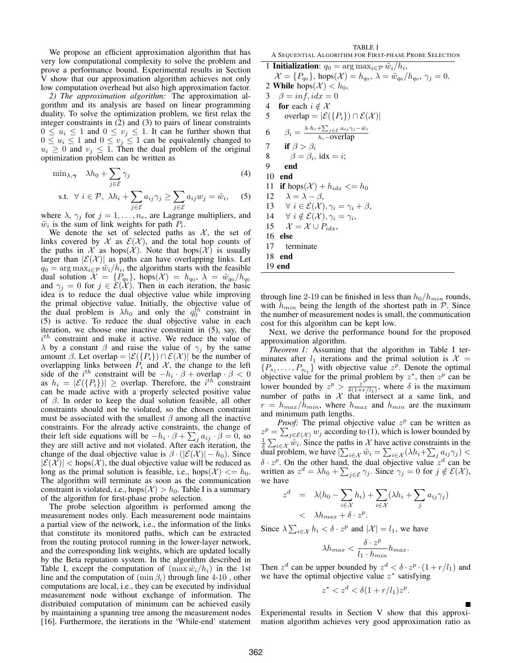We propose an efficient approximation algorithm that has very low computational complexity to solve the problem and prove a performance bound. Experimental results in Section V show that our approximation algorithm achieves not only low computation overhead but also high approximation factor.

*2) The approximation algorithm:* The approximation algorithm and its analysis are based on linear programming duality. To solve the optimization problem, we first relax the integer constraints in (2) and (3) to pairs of linear constraints  $0 \le u_i \le 1$  and  $0 \le v_j \le 1$ . It can be further shown that  $0 \le u_i \le 1$  and  $0 \le v_j \le 1$  can be equivalently changed to  $u_i \geq 0$  and  $v_j \leq 1$ . Then the dual problem of the original optimization problem can be written as

$$
\min_{\lambda,\gamma} \quad \lambda h_0 + \sum_{j \in \mathcal{E}} \gamma_j \tag{4}
$$

s.t. 
$$
\forall i \in \mathcal{P}, \ \lambda h_i + \sum_{j \in \mathcal{E}} a_{ij} \gamma_j \ge \sum_{j \in \mathcal{E}} a_{ij} w_j = \tilde{w}_i,
$$
 (5)

where  $\lambda$ ,  $\gamma_j$  for  $j = 1, \ldots, n_e$ , are Lagrange multipliers, and  $\tilde{w}_i$  is the sum of link weights for path  $P_i$ .

We denote the set of selected paths as  $X$ , the set of links covered by  $\mathcal X$  as  $\mathcal E(\mathcal X)$ , and the total hop counts of the paths in X as hops(X). Note that hops(X) is usually larger than  $|\mathcal{E}(\mathcal{X})|$  as paths can have overlapping links. Let  $q_0 = \arg \max_{i \in \mathcal{P}} \tilde{w}_i / h_i$ , the algorithm starts with the feasible dual solution  $\mathcal{X} = \{P_{q_0}\}\$ , hops $(\mathcal{X}) = h_{q_0}, \ \lambda = \tilde{w}_{q_0}/h_{q_0}$ and  $\gamma_j = 0$  for  $j \in \mathcal{E}(\mathcal{X})$ . Then in each iteration, the basic idea is to reduce the dual objective value while improving the primal objective value. Initially, the objective value of the dual problem is  $\lambda h_0$  and only the  $q_0^{th}$  constraint in (5) is active. To reduce the dual objective value in each iteration, we choose one inactive constraint in (5), say, the  $i<sup>th</sup>$  constraint and make it active. We reduce the value of λ by a constant β and raise the value of  $\gamma_i$  by the same amount  $\beta$ . Let overlap =  $|\mathcal{E}(\lbrace P_i \rbrace) \cap \mathcal{E}(\mathcal{X})|$  be the number of overlapping links between  $P_i$  and X, the change to the left side of the  $i^{th}$  constraint will be  $-h_i \cdot \beta +$  overlap  $\cdot \beta < 0$ as  $h_i = |\mathcal{E}(\{P_i\})| \geq$  overlap. Therefore, the i<sup>th</sup> constraint can be made active with a properly selected positive value of  $\beta$ . In order to keep the dual solution feasible, all other constraints should not be violated, so the chosen constraint must be associated with the smallest  $\beta$  among all the inactive constraints. For the already active constraints, the change of their left side equations will be  $-h_i \cdot \beta + \sum_j a_{ij} \cdot \beta = 0$ , so they are still active and not violated. After each iteration, the change of the dual objective value is  $\beta \cdot (|\mathcal{E}(\mathcal{X})| - h_0)$ . Since  $|\mathcal{E}(\mathcal{X})|$  < hops(X), the dual objective value will be reduced as long as the primal solution is feasible, i.e., hops( $\mathcal{X}$ )  $\leq h_0$ . The algorithm will terminate as soon as the communication constraint is violated, i.e., hops( $\mathcal{X}$ ) > h<sub>0</sub>. Table I is a summary of the algorithm for first-phase probe selection.

The probe selection algorithm is performed among the measurement nodes only. Each measurement node maintains a partial view of the network, i.e., the information of the links that constitute its monitored paths, which can be extracted from the routing protocol running in the lower-layer network, and the corresponding link weights, which are updated locally by the Beta reputation system. In the algorithm described in Table I, except the computation of  $(\max \tilde{w}_i/h_i)$  in the 1st line and the computation of  $(\min \beta_i)$  through line 4-10, other computations are local, i.e., they can be executed by individual measurement node without exchange of information. The distributed computation of minimum can be achieved easily by maintaining a spanning tree among the measurement nodes [16]. Furthermore, the iterations in the 'While-end' statement

TABLE I A SEQUENTIAL ALGORITHM FOR FIRST-PHASE PROBE SELECTION

1 **Initialization**:  $q_0 = \arg \max_{i \in \mathcal{P}} \tilde{w}_i / h_i$ ,  $\mathcal{X} = \{P_{q_0}\}\, \text{hops}(\mathcal{X}) = h_{q_0}, \ \lambda = \tilde{w}_{q_0}/h_{q_0}, \ \gamma_j = 0.$ 2 While hops( $\mathcal{X}$ ) <  $h_0$ , 3  $\beta = inf, idx = 0$ 4 for each  $i \notin \mathcal{X}$ 5 overlap =  $|\mathcal{E}(\lbrace P_i \rbrace) \cap \mathcal{E}(\mathcal{X})|$ 6  $\beta_i = \frac{\lambda \cdot h_i + \sum_{j \in \mathcal{E}} a_{ij} \gamma_j - \tilde{w}_i}{h$  overlap  $\overline{h_i}$ –overlap 7 if  $\beta > \beta$ <sub>i</sub><br>8  $\beta = \beta_i$ 8  $\beta = \beta_i$ , idx = *i*; 9 end 10 end 11 if hops( $\mathcal{X}$ ) +  $h_{idx}$  <=  $h_0$ 12  $\lambda = \lambda - \beta$ , 13  $\forall i \in \mathcal{E}(\mathcal{X}), \gamma_i = \gamma_i + \beta,$ 14  $\forall i \notin \mathcal{E}(\mathcal{X}), \gamma_i = \gamma_i,$ 15  $\mathcal{X} = \mathcal{X} \cup P_{idx}$ 16 else 17 terminate 18 end 19 end

through line 2-19 can be finished in less than  $h_0/h_{min}$  rounds, with  $h_{min}$  being the length of the shortest path in  $P$ . Since the number of measurement nodes is small, the communication cost for this algorithm can be kept low.

Next, we derive the performance bound for the proposed approximation algorithm.

*Theorem 1:* Assuming that the algorithm in Table I terminates after  $l_1$  iterations and the primal solution is  $\mathcal{X} =$  $\{P_{s_1}, \ldots, P_{s_{l_1}}\}$  with objective value  $z^p$ . Denote the optimal objective value for the primal problem by  $z^*$ , then  $z^p$  can be lower bounded by  $z^p > \frac{z^*}{\delta(1+r)}$  $\frac{z^*}{\delta(1+r/l_1)}$ , where  $\delta$  is the maximum number of paths in  $X$  that intersect at a same link, and  $r = h_{max}/h_{min}$ , where  $h_{max}$  and  $h_{min}$  are the maximum and minimum path lengths.

*Proof:* The primal objective value  $z^p$  can be written as  $z^p = \sum_{j \in \mathcal{E}(\mathcal{X})} w_j$  according to (1), which is lower bounded by  $\frac{1}{\delta} \sum_{i \in \mathcal{X}} \tilde{w}_i$ . Since the paths in X have active constraints in the dual problem, we have  $\sum_{i \in \mathcal{X}} \tilde{w}_i = \sum_{i \in \mathcal{X}} (\lambda h_i + \sum_j a_{ij} \gamma_j)$  <  $\delta \cdot z^p$ . On the other hand, the dual objective value  $z^d$  can be written as  $z^d = \lambda h_0 + \sum_{j \in \mathcal{E}} \gamma_j$ . Since  $\gamma_j = 0$  for  $j \notin \mathcal{E}(\mathcal{X})$ , we have

$$
z^{d} = \lambda(h_0 - \sum_{i \in \mathcal{X}} h_i) + \sum_{i \in \mathcal{X}} (\lambda h_i + \sum_{j} a_{ij} \gamma_j)
$$
  
<  $\lambda h_{max} + \delta \cdot z^{p}.$ 

Since  $\lambda \sum_{i \in \mathcal{X}} h_i < \delta \cdot z^p$  and  $|\mathcal{X}| = l_1$ , we have

 $\lambda h_{max} < \frac{\delta \cdot z^p}{1 - t}$  $\frac{0}{l_1 \cdot h_{min}} h_{max}.$ 

Then  $z^d$  can be upper bounded by  $z^d < \delta \cdot z^p \cdot (1 + r/l_1)$  and we have the optimal objective value  $z^*$  satisfying

$$
z^* < z^d < \delta(1 + r/l_1)z^p.
$$

Experimental results in Section V show that this approximation algorithm achieves very good approximation ratio as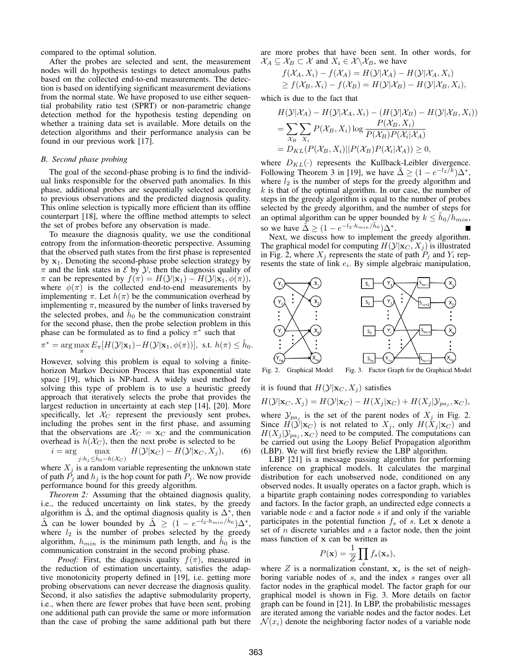compared to the optimal solution.

After the probes are selected and sent, the measurement nodes will do hypothesis testings to detect anomalous paths based on the collected end-to-end measurements. The detection is based on identifying significant measurement deviations from the normal state. We have proposed to use either sequential probability ratio test (SPRT) or non-parametric change detection method for the hypothesis testing depending on whether a training data set is available. More details on the detection algorithms and their performance analysis can be found in our previous work [17].

#### *B. Second phase probing*

The goal of the second-phase probing is to find the individual links responsible for the observed path anomalies. In this phase, additional probes are sequentially selected according to previous observations and the predicted diagnosis quality. This online selection is typically more efficient than its offline counterpart [18], where the offline method attempts to select the set of probes before any observation is made.

To measure the diagnosis quality, we use the conditional entropy from the information-theoretic perspective. Assuming that the observed path states from the first phase is represented by  $x_1$ . Denoting the second-phase probe selection strategy by  $\pi$  and the link states in  $\mathcal E$  by  $\mathcal Y$ , then the diagnosis quality of  $\pi$  can be represented by  $f(\pi) = H(\mathcal{Y}|\mathbf{x}_1) - H(\mathcal{Y}|\mathbf{x}_1, \phi(\pi))$ , where  $\phi(\pi)$  is the collected end-to-end measurements by implementing  $\pi$ . Let  $h(\pi)$  be the communication overhead by implementing  $\pi$ , measured by the number of links traversed by the selected probes, and  $\tilde{h}_0$  be the communication constraint for the second phase, then the probe selection problem in this phase can be formulated as to find a policy  $\pi^*$  such that

$$
\pi^* = \arg\max_{\pi} E_{\pi}[H(\mathcal{Y}|\mathbf{x}_1) - H(\mathcal{Y}|\mathbf{x}_1, \phi(\pi))], \text{ s.t. } h(\pi) \leq \tilde{h}_0.
$$

However, solving this problem is equal to solving a finitehorizon Markov Decision Process that has exponential state space [19], which is NP-hard. A widely used method for solving this type of problem is to use a heuristic greedy approach that iteratively selects the probe that provides the largest reduction in uncertainty at each step [14], [20]. More specifically, let  $\mathcal{X}_C$  represent the previously sent probes, including the probes sent in the first phase, and assuming that the observations are  $\mathcal{X}_C = \mathbf{x}_C$  and the communication overhead is  $h(\mathcal{X}_C)$ , then the next probe is selected to be

$$
i = \arg\max_{j:h_j \le \tilde{h}_0 - h(\mathcal{X}_C)} H(\mathcal{Y}|\mathbf{x}_C) - H(\mathcal{Y}|\mathbf{x}_C, X_j),
$$
 (6)

where  $X_i$  is a random variable representing the unknown state of path  $P_i$  and  $h_i$  is the hop count for path  $P_i$ . We now provide performance bound for this greedy algorithm.

*Theorem 2:* Assuming that the obtained diagnosis quality, i.e., the reduced uncertainty on link states, by the greedy algorithm is  $\tilde{\Delta}$ , and the optimal diagnosis quality is  $\Delta^*$ , then  $\tilde{\Delta}$  can be lower bounded by  $\tilde{\Delta} \geq (1 - e^{-l_2 \cdot h_{min}/\tilde{h}_0}) \Delta^*$ , where  $l_2$  is the number of probes selected by the greedy algorithm,  $h_{min}$  is the minimum path length, and  $\tilde{h}_0$  is the communication constraint in the second probing phase.

*Proof:* First, the diagnosis quality  $f(\pi)$ , measured in the reduction of estimation uncertainty, satisfies the adaptive monotonicity property defined in [19], i.e. getting more probing observations can never decrease the diagnosis quality. Second, it also satisfies the adaptive submodularity property, i.e., when there are fewer probes that have been sent, probing one additional path can provide the same or more information than the case of probing the same additional path but there

are more probes that have been sent. In other words, for  $\mathcal{X}_A \subseteq \mathcal{X}_B \subset \mathcal{X}$  and  $X_i \in \mathcal{X} \backslash \mathcal{X}_B$ , we have

$$
f(\mathcal{X}_A, X_i) - f(\mathcal{X}_A) = H(\mathcal{Y}|\mathcal{X}_A) - H(\mathcal{Y}|\mathcal{X}_A, X_i)
$$
  
\n
$$
\geq f(\mathcal{X}_B, X_i) - f(\mathcal{X}_B) = H(\mathcal{Y}|\mathcal{X}_B) - H(\mathcal{Y}|\mathcal{X}_B, X_i),
$$

which is due to the fact that

$$
H(\mathcal{Y}|\mathcal{X}_A) - H(\mathcal{Y}|\mathcal{X}_A, X_i) - (H(\mathcal{Y}|\mathcal{X}_B) - H(\mathcal{Y}|\mathcal{X}_B, X_i))
$$
  
= 
$$
\sum_{\mathcal{X}_B} \sum_{X_i} P(\mathcal{X}_B, X_i) \log \frac{P(\mathcal{X}_B, X_i)}{P(\mathcal{X}_B)P(\mathcal{X}_i|\mathcal{X}_A)}
$$
  
= 
$$
D_{KL}(P(\mathcal{X}_B, X_i) || P(\mathcal{X}_B)P(\mathcal{X}_i|\mathcal{X}_A)) \ge 0,
$$

where  $D_{KL}(\cdot)$  represents the Kullback-Leibler divergence. Following Theorem 3 in [19], we have  $\tilde{\Delta} \geq (1 - e^{-l_2/\tilde{k}}) \Delta^*$ , where  $l_2$  is the number of steps for the greedy algorithm and  $k$  is that of the optimal algorithm. In our case, the number of steps in the greedy algorithm is equal to the number of probes selected by the greedy algorithm, and the number of steps for an optimal algorithm can be upper bounded by  $k \leq \tilde{h}_0 / h_{min}$ , so we have  $\tilde{\Delta} \geq (1 - e^{-l_2 \cdot h_{min}/\tilde{h}_0}) \Delta^*$ .

Next, we discuss how to implement the greedy algorithm. The graphical model for computing  $H(\mathcal{Y}|\mathbf{x}_C, X_i)$  is illustrated in Fig. 2, where  $X_i$  represents the state of path  $P_i$  and  $Y_i$  represents the state of link  $e_i$ . By simple algebraic manipulation,



Fig. 2. Graphical Model Fig. 3. Factor Graph for the Graphical Model

it is found that  $H(\mathcal{Y}|\mathbf{x}_C, X_i)$  satisfies

$$
H(\mathcal{Y}|\mathbf{x}_C, X_j) = H(\mathcal{Y}|\mathbf{x}_C) - H(X_j|\mathbf{x}_C) + H(X_j|\mathcal{Y}_{pa_j}, \mathbf{x}_C),
$$

where  $\mathcal{Y}_{pa_j}$  is the set of the parent nodes of  $X_j$  in Fig. 2. Since  $H(\mathcal{Y}|\mathbf{x}_C)$  is not related to  $X_j$ , only  $H(X_j|\mathbf{x}_C)$  and  $H(X_j | \mathcal{Y}_{pa_j}, \mathbf{x}_C)$  need to be computed. The computations can be carried out using the Loopy Belief Propagation algorithm (LBP). We will first briefly review the LBP algorithm.

LBP [21] is a message passing algorithm for performing inference on graphical models. It calculates the marginal distribution for each unobserved node, conditioned on any observed nodes. It usually operates on a factor graph, which is a bipartite graph containing nodes corresponding to variables and factors. In the factor graph, an undirected edge connects a variable node  $c$  and a factor node  $s$  if and only if the variable participates in the potential function  $f_s$  of s. Let x denote a set of  $n$  discrete variables and  $s$  a factor node, then the joint mass function of x can be written as

$$
P(\mathbf{x}) = \frac{1}{Z} \prod_{s} f_s(\mathbf{x}_s),
$$

where  $Z$  is a normalization constant,  $x_s$  is the set of neighboring variable nodes of s, and the index s ranges over all factor nodes in the graphical model. The factor graph for our graphical model is shown in Fig. 3. More details on factor graph can be found in [21]. In LBP, the probabilistic messages are iterated among the variable nodes and the factor nodes. Let  $\mathcal{N}(x_i)$  denote the neighboring factor nodes of a variable node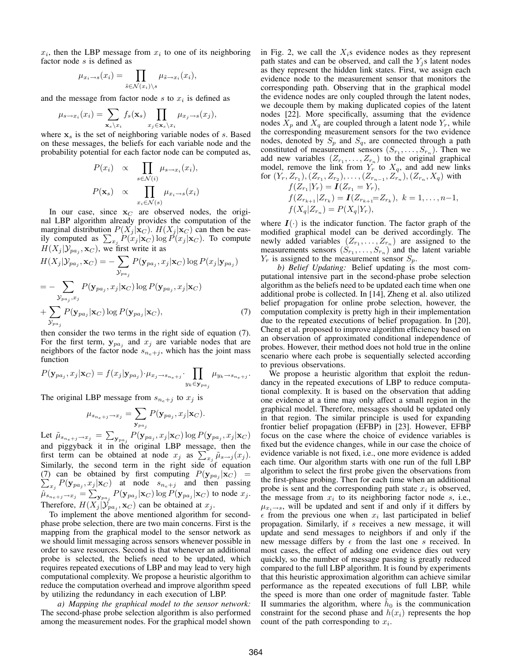$x_i$ , then the LBP message from  $x_i$  to one of its neighboring factor node s is defined as

$$
\mu_{x_i \to s}(x_i) = \prod_{\tilde{s} \in \mathcal{N}(x_i) \setminus s} \mu_{\tilde{s} \to x_i}(x_i),
$$

and the message from factor node  $s$  to  $x_i$  is defined as

$$
\mu_{s \to x_i}(x_i) = \sum_{\mathbf{x}_s \backslash x_i} f_s(\mathbf{x}_s) \prod_{x_j \in \mathbf{x}_s \backslash x_i} \mu_{x_j \to s}(x_j),
$$

where  $x<sub>s</sub>$  is the set of neighboring variable nodes of s. Based on these messages, the beliefs for each variable node and the probability potential for each factor node can be computed as,

$$
P(x_i) \propto \prod_{s \in \mathcal{N}(i)} \mu_{s \to x_i}(x_i),
$$

$$
P(\mathbf{x}_s) \propto \prod_{x_i \in \mathcal{N}(s)} \mu_{x_i \to s}(x_i)
$$

In our case, since  $x_C$  are observed nodes, the original LBP algorithm already provides the computation of the marginal distribution  $P(X_j | \mathbf{x}_C)$ .  $H(X_j | \mathbf{x}_C)$  can then be easily computed as  $\sum_{x_j} P(x_j | \mathbf{x}_C) \log P(x_j | \mathbf{x}_C)$ . To compute  $H(X_j | \mathcal{Y}_{pa_j}, \mathbf{x}_C)$ , we first write it as

$$
H(X_j | \mathcal{Y}_{pa_j}, \mathbf{x}_C) = -\sum_{\mathcal{Y}_{pa_j}} P(\mathbf{y}_{pa_j}, x_j | \mathbf{x}_C) \log P(x_j | \mathbf{y}_{pa_j})
$$
  
= 
$$
-\sum_{\mathcal{Y}_{pa_j}, x_j} P(\mathbf{y}_{pa_j}, x_j | \mathbf{x}_C) \log P(\mathbf{y}_{pa_j}, x_j | \mathbf{x}_C)
$$
  
+ 
$$
\sum_{\mathcal{Y}_{pa_j}} P(\mathbf{y}_{pa_j} | \mathbf{x}_C) \log P(\mathbf{y}_{pa_j} | \mathbf{x}_C),
$$
 (7)

then consider the two terms in the right side of equation (7). For the first term,  $y_{pa_j}$  and  $x_j$  are variable nodes that are neighbors of the factor node  $s_{n+1}$ , which has the joint mass function

$$
P(\mathbf{y}_{pa_j}, x_j | \mathbf{x}_C) = f(x_j | \mathbf{y}_{pa_j}) \cdot \mu_{x_j \to s_{ne+j}} \cdot \prod_{y_k \in \mathbf{y}_{pa_j}} \mu_{y_k \to s_{ne+j}}.
$$

The original LBP message from  $s_{n_e+j}$  to  $x_j$  is

$$
\mu_{s_{n_e+j}\to x_j} = \sum_{\mathbf{y}_{pa_j}} P(\mathbf{y}_{pa_j}, x_j | \mathbf{x}_C).
$$

Let  $\tilde{\mu}_{s_{n_e+j}\to x_j} = \sum_{\mathbf{y}_{pa_j}} P(\mathbf{y}_{pa_j}, x_j | \mathbf{x}_C) \log P(\mathbf{y}_{pa_j}, x_j | \mathbf{x}_C)$ and piggyback it in the original LBP message, then the first term can be obtained at node  $x_j$  as  $\sum_{x_j} \tilde{\mu}_{s \to j}(x_j)$ . Similarly, the second term in the right side of equation (7) can be obtained by first computing  $P(\mathbf{y}_{pa_j}|\mathbf{x}_C) = \sum_{x_j} P(\mathbf{y}_{pa_j}, x_j|\mathbf{x}_C)$  at node  $s_{n_e+j}$  and then passing (7) can be obtained by first computing  $P(\mathbf{y}_{pa_j}|\mathbf{x}_C)$  =  $\hat{\mu}_{s_{n_e+j}\to x_j} = \sum_{\mathbf{y}_{pa_j}} P(\mathbf{y}_{pa_j}|\mathbf{x}_C) \log P(\mathbf{y}_{pa_j}|\mathbf{x}_C)$  to node  $x_j$ . Therefore,  $H(X_j | \hat{y}_{pa_j}, \mathbf{x}_C)$  can be obtained at  $x_j$ .

To implement the above mentioned algorithm for secondphase probe selection, there are two main concerns. First is the mapping from the graphical model to the sensor network as we should limit messaging across sensors whenever possible in order to save resources. Second is that whenever an additional probe is selected, the beliefs need to be updated, which requires repeated executions of LBP and may lead to very high computational complexity. We propose a heuristic algorithm to reduce the computation overhead and improve algorithm speed by utilizing the redundancy in each execution of LBP.

*a) Mapping the graphical model to the sensor network:* The second-phase probe selection algorithm is also performed among the measurement nodes. For the graphical model shown in Fig. 2, we call the  $X_i$ s evidence nodes as they represent path states and can be observed, and call the  $Y_i$ s latent nodes as they represent the hidden link states. First, we assign each evidence node to the measurement sensor that monitors the corresponding path. Observing that in the graphical model the evidence nodes are only coupled through the latent nodes, we decouple them by making duplicated copies of the latent nodes [22]. More specifically, assuming that the evidence nodes  $X_p$  and  $X_q$  are coupled through a latent node  $Y_r$ , while the corresponding measurement sensors for the two evidence nodes, denoted by  $S_p$  and  $S_q$ , are connected through a path constituted of measurement sensors  $(S_{r_1},...,S_{r_n})$ . Then we add new variables  $(Z_{r_1},..., Z_{r_n})$  to the original graphical model, remove the link from  $Y_r$  to  $X_q$ , and add new links for  $(Y_r, Z_{r_1}), (Z_{r_1}, Z_{r_2}), \ldots, (Z_{r_{n-1}}, Z_{r_n}), (Z_{r_n}, X_q)$  with

$$
f(Z_{r_1}|Y_r) = \mathbf{I}(Z_{r_1} = Y_r),
$$
  
\n
$$
f(Z_{r_{k+1}}|Z_{r_k}) = \mathbf{I}(Z_{r_{k+1}}=Z_{r_k}), k = 1, ..., n-1,
$$
  
\n
$$
f(X_q|Z_{r_n}) = P(X_q|Y_r),
$$

where  $I(\cdot)$  is the indicator function. The factor graph of the modified graphical model can be derived accordingly. The newly added variables  $(Z_{r_1},..., Z_{r_n})$  are assigned to the measurements sensors  $(S_{r_1},...,S_{r_n})$  and the latent variable  $Y_r$  is assigned to the measurement sensor  $S_p$ .

*b) Belief Updating:* Belief updating is the most computational intensive part in the second-phase probe selection algorithm as the beliefs need to be updated each time when one additional probe is collected. In [14], Zheng et al. also utilized belief propagation for online probe selection, however, the computation complexity is pretty high in their implementation due to the repeated executions of belief propagation. In [20], Cheng et al. proposed to improve algorithm efficiency based on an observation of approximated conditional independence of probes. However, their method does not hold true in the online scenario where each probe is sequentially selected according to previous observations.

We propose a heuristic algorithm that exploit the redundancy in the repeated executions of LBP to reduce computational complexity. It is based on the observation that adding one evidence at a time may only affect a small region in the graphical model. Therefore, messages should be updated only in that region. The similar principle is used for expanding frontier belief propagation (EFBP) in [23]. However, EFBP focus on the case where the choice of evidence variables is fixed but the evidence changes, while in our case the choice of evidence variable is not fixed, i.e., one more evidence is added each time. Our algorithm starts with one run of the full LBP algorithm to select the first probe given the observations from the first-phase probing. Then for each time when an additional probe is sent and the corresponding path state  $x_i$  is observed, the message from  $x_i$  to its neighboring factor node  $s$ , i.e.,  $\mu_{x_i\rightarrow s}$ , will be updated and sent if and only if it differs by  $\epsilon$  from the previous one when  $x_i$  last participated in belief propagation. Similarly, if s receives a new message, it will update and send messages to neighbors if and only if the new message differs by  $\epsilon$  from the last one s received. In most cases, the effect of adding one evidence dies out very quickly, so the number of message passing is greatly reduced compared to the full LBP algorithm. It is found by experiments that this heuristic approximation algorithm can achieve similar performance as the repeated executions of full LBP, while the speed is more than one order of magnitude faster. Table II summaries the algorithm, where  $\tilde{h}_0$  is the communication constraint for the second phase and  $h(x_i)$  represents the hop count of the path corresponding to  $x_i$ .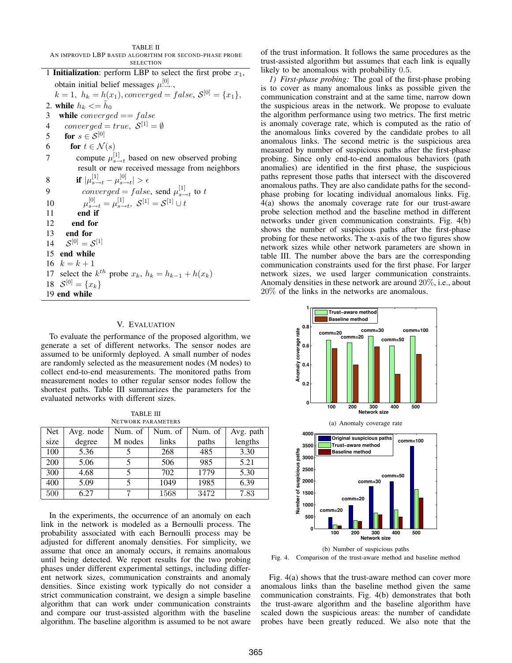TABLE II AN IMPROVED LBP BASED ALGORITHM FOR SECOND-PHASE PROBE SELECTION

1 **Initialization**: perform LBP to select the first probe  $x_1$ , obtain initial belief messages  $\mu^{[0]}_{\cdot\cdot\cdot\cdot}$ .  $k = 1, h_k = h(x_1), converged = false, S^{[0]} = {x_1},$ 2. while  $h_k \leq \tilde{h}_0$ 3 while converged  $==$  false  $4 \quad \textit{converged} = \textit{true}, \; \mathcal{S}^{[1]} = \emptyset$ 5 for  $s \in \mathcal{S}^{[0]}$ 6 for  $t \in \mathcal{N}(s)$ 7 compute  $\mu_{s \to t}^{[1]}$  based on new observed probing result or new received message from neighbors 8 **if**  $|\mu_{s \to t}^{[1]} - \mu_{s \to t}^{[0]}| > \epsilon$ 9 converged = false, send  $\mu_{s \to t}^{[1]}$  to t 10  $\mu_{s\to t}^{[0]} = \mu_{s\to t}^{[1]}$ ,  $S^{[1]} = S^{[1]} \cup t$  $11$ 12 end for 13 end for  $14$  $\lbrack 0\rbrack =\mathcal{S}^{[1]}$ 15 end while 16  $k = k + 1$ 17 select the  $k^{th}$  probe  $x_k$ ,  $h_k = h_{k-1} + h(x_k)$ 18  $S^{[0]} = \{x_k\}$ 19 end while

### V. EVALUATION

To evaluate the performance of the proposed algorithm, we generate a set of different networks. The sensor nodes are assumed to be uniformly deployed. A small number of nodes are randomly selected as the measurement nodes (M nodes) to collect end-to-end measurements. The monitored paths from measurement nodes to other regular sensor nodes follow the shortest paths. Table III summarizes the parameters for the evaluated networks with different sizes.

| TABLE III                 |  |  |  |  |  |
|---------------------------|--|--|--|--|--|
| <b>NETWORK PARAMETERS</b> |  |  |  |  |  |

| Net  | Avg. node | Num. of | Num. of | Num. of | Avg. path |
|------|-----------|---------|---------|---------|-----------|
| size | degree    | M nodes | links   | paths   | lengths   |
| 100  | 5.36      |         | 268     | 485     | 3.30      |
| 200  | 5.06      |         | 506     | 985     | 5.21      |
| 300  | 4.68      |         | 702     | 1779    | 5.30      |
| 400  | 5.09      |         | 1049    | 1985    | 6.39      |
| 500  | 6.27      |         | 1568    | 3472    | 7.83      |

In the experiments, the occurrence of an anomaly on each link in the network is modeled as a Bernoulli process. The probability associated with each Bernoulli process may be adjusted for different anomaly densities. For simplicity, we assume that once an anomaly occurs, it remains anomalous until being detected. We report results for the two probing phases under different experimental settings, including different network sizes, communication constraints and anomaly densities. Since existing work typically do not consider a strict communication constraint, we design a simple baseline algorithm that can work under communication constraints and compare our trust-assisted algorithm with the baseline algorithm. The baseline algorithm is assumed to be not aware

of the trust information. It follows the same procedures as the trust-assisted algorithm but assumes that each link is equally likely to be anomalous with probability 0.5.

*1) First-phase probing:* The goal of the first-phase probing is to cover as many anomalous links as possible given the communication constraint and at the same time, narrow down the suspicious areas in the network. We propose to evaluate the algorithm performance using two metrics. The first metric is anomaly coverage rate, which is computed as the ratio of the anomalous links covered by the candidate probes to all anomalous links. The second metric is the suspicious area measured by number of suspicious paths after the first-phase probing. Since only end-to-end anomalous behaviors (path anomalies) are identified in the first phase, the suspicious paths represent those paths that intersect with the discovered anomalous paths. They are also candidate paths for the secondphase probing for locating individual anomalous links. Fig. 4(a) shows the anomaly coverage rate for our trust-aware probe selection method and the baseline method in different networks under given communication constraints. Fig. 4(b) shows the number of suspicious paths after the first-phase probing for these networks. The x-axis of the two figures show network sizes while other network parameters are shown in table III. The number above the bars are the corresponding communication constraints used for the first phase. For larger network sizes, we used larger communication constraints. Anomaly densities in these network are around 20%, i.e., about 20% of the links in the networks are anomalous.



Fig. 4. Comparison of the trust-aware method and baseline method

Fig. 4(a) shows that the trust-aware method can cover more anomalous links than the baseline method given the same communication constraints. Fig. 4(b) demonstrates that both the trust-aware algorithm and the baseline algorithm have scaled down the suspicious areas: the number of candidate probes have been greatly reduced. We also note that the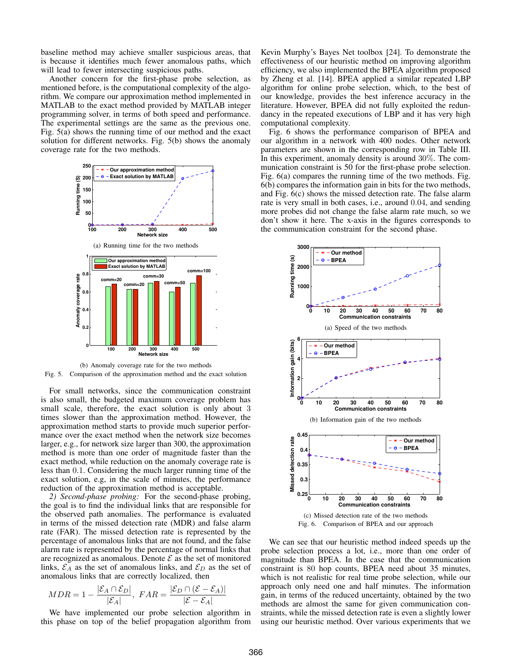baseline method may achieve smaller suspicious areas, that is because it identifies much fewer anomalous paths, which will lead to fewer intersecting suspicious paths.

Another concern for the first-phase probe selection, as mentioned before, is the computational complexity of the algorithm. We compare our approximation method implemented in MATLAB to the exact method provided by MATLAB integer programming solver, in terms of both speed and performance. The experimental settings are the same as the previous one. Fig. 5(a) shows the running time of our method and the exact solution for different networks. Fig. 5(b) shows the anomaly coverage rate for the two methods.



Fig. 5. Comparison of the approximation method and the exact solution

For small networks, since the communication constraint is also small, the budgeted maximum coverage problem has small scale, therefore, the exact solution is only about 3 times slower than the approximation method. However, the approximation method starts to provide much superior performance over the exact method when the network size becomes larger, e.g., for network size larger than 300, the approximation method is more than one order of magnitude faster than the exact method, while reduction on the anomaly coverage rate is less than 0.1. Considering the much larger running time of the exact solution, e.g, in the scale of minutes, the performance reduction of the approximation method is acceptable.

*2) Second-phase probing:* For the second-phase probing, the goal is to find the individual links that are responsible for the observed path anomalies. The performance is evaluated in terms of the missed detection rate (MDR) and false alarm rate (FAR). The missed detection rate is represented by the percentage of anomalous links that are not found, and the false alarm rate is represented by the percentage of normal links that are recognized as anomalous. Denote  $\mathcal E$  as the set of monitored links,  $\mathcal{E}_A$  as the set of anomalous links, and  $\mathcal{E}_D$  as the set of anomalous links that are correctly localized, then

$$
MDR = 1 - \frac{|\mathcal{E}_A \cap \mathcal{E}_D|}{|\mathcal{E}_A|}, \ FAR = \frac{|\mathcal{E}_D \cap (\mathcal{E} - \mathcal{E}_A)|}{|\mathcal{E} - \mathcal{E}_A|}
$$

We have implemented our probe selection algorithm in this phase on top of the belief propagation algorithm from Kevin Murphy's Bayes Net toolbox [24]. To demonstrate the effectiveness of our heuristic method on improving algorithm efficiency, we also implemented the BPEA algorithm proposed by Zheng et al. [14]. BPEA applied a similar repeated LBP algorithm for online probe selection, which, to the best of our knowledge, provides the best inference accuracy in the literature. However, BPEA did not fully exploited the redundancy in the repeated executions of LBP and it has very high computational complexity.

Fig. 6 shows the performance comparison of BPEA and our algorithm in a network with 400 nodes. Other network parameters are shown in the corresponding row in Table III. In this experiment, anomaly density is around 30%. The communication constraint is 50 for the first-phase probe selection. Fig. 6(a) compares the running time of the two methods. Fig. 6(b) compares the information gain in bits for the two methods, and Fig. 6(c) shows the missed detection rate. The false alarm rate is very small in both cases, i.e., around 0.04, and sending more probes did not change the false alarm rate much, so we don't show it here. The x-axis in the figures corresponds to the communication constraint for the second phase.



We can see that our heuristic method indeed speeds up the probe selection process a lot, i.e., more than one order of magnitude than BPEA. In the case that the communication constraint is 80 hop counts, BPEA need about 35 minutes, which is not realistic for real time probe selection, while our approach only need one and half minutes. The information gain, in terms of the reduced uncertainty, obtained by the two methods are almost the same for given communication constraints, while the missed detection rate is even a slightly lower using our heuristic method. Over various experiments that we